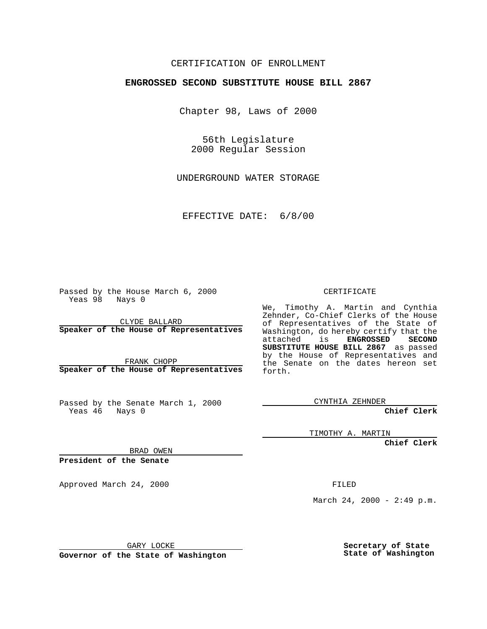## CERTIFICATION OF ENROLLMENT

## **ENGROSSED SECOND SUBSTITUTE HOUSE BILL 2867**

Chapter 98, Laws of 2000

56th Legislature 2000 Regular Session

UNDERGROUND WATER STORAGE

EFFECTIVE DATE: 6/8/00

Passed by the House March 6, 2000 Yeas 98 Nays 0

CLYDE BALLARD **Speaker of the House of Representatives**

FRANK CHOPP **Speaker of the House of Representatives**

Passed by the Senate March 1, 2000 Yeas 46 Nays 0

CERTIFICATE

We, Timothy A. Martin and Cynthia Zehnder, Co-Chief Clerks of the House of Representatives of the State of Washington, do hereby certify that the attached is **ENGROSSED** SECOND attached is **SUBSTITUTE HOUSE BILL 2867** as passed by the House of Representatives and the Senate on the dates hereon set forth.

CYNTHIA ZEHNDER

**Chief Clerk**

TIMOTHY A. MARTIN

**Chief Clerk**

BRAD OWEN

**President of the Senate**

Approved March 24, 2000 FILED

March 24, 2000 - 2:49 p.m.

GARY LOCKE

**Governor of the State of Washington**

**Secretary of State State of Washington**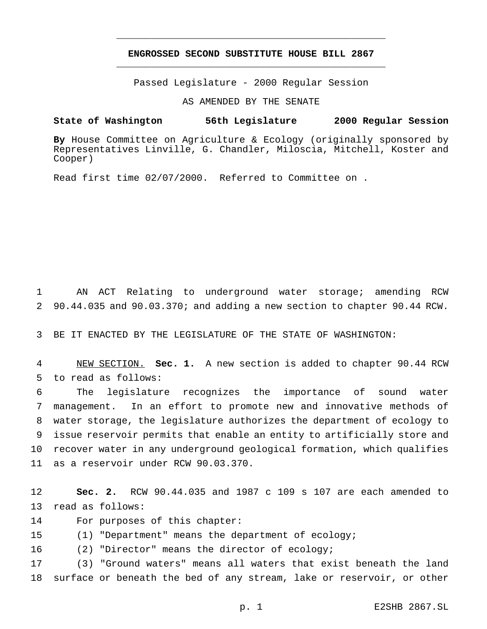## **ENGROSSED SECOND SUBSTITUTE HOUSE BILL 2867** \_\_\_\_\_\_\_\_\_\_\_\_\_\_\_\_\_\_\_\_\_\_\_\_\_\_\_\_\_\_\_\_\_\_\_\_\_\_\_\_\_\_\_\_\_\_\_

\_\_\_\_\_\_\_\_\_\_\_\_\_\_\_\_\_\_\_\_\_\_\_\_\_\_\_\_\_\_\_\_\_\_\_\_\_\_\_\_\_\_\_\_\_\_\_

Passed Legislature - 2000 Regular Session

AS AMENDED BY THE SENATE

**State of Washington 56th Legislature 2000 Regular Session**

**By** House Committee on Agriculture & Ecology (originally sponsored by Representatives Linville, G. Chandler, Miloscia, Mitchell, Koster and Cooper)

Read first time 02/07/2000. Referred to Committee on .

 AN ACT Relating to underground water storage; amending RCW 90.44.035 and 90.03.370; and adding a new section to chapter 90.44 RCW.

BE IT ENACTED BY THE LEGISLATURE OF THE STATE OF WASHINGTON:

 NEW SECTION. **Sec. 1.** A new section is added to chapter 90.44 RCW to read as follows:

 The legislature recognizes the importance of sound water management. In an effort to promote new and innovative methods of water storage, the legislature authorizes the department of ecology to issue reservoir permits that enable an entity to artificially store and recover water in any underground geological formation, which qualifies as a reservoir under RCW 90.03.370.

 **Sec. 2.** RCW 90.44.035 and 1987 c 109 s 107 are each amended to read as follows:

For purposes of this chapter:

(1) "Department" means the department of ecology;

(2) "Director" means the director of ecology;

 (3) "Ground waters" means all waters that exist beneath the land surface or beneath the bed of any stream, lake or reservoir, or other

p. 1 E2SHB 2867.SL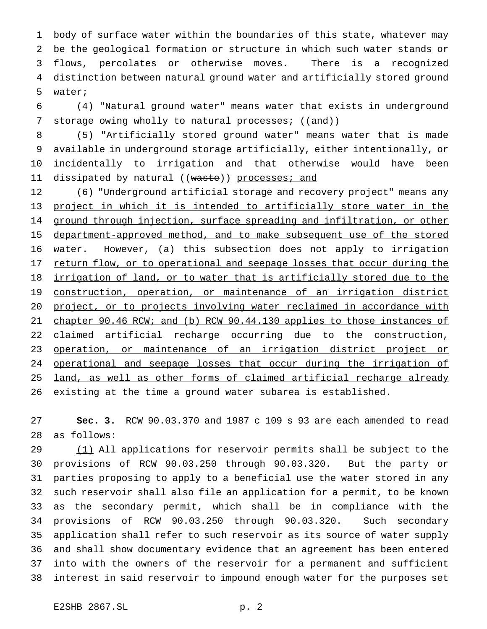body of surface water within the boundaries of this state, whatever may be the geological formation or structure in which such water stands or flows, percolates or otherwise moves. There is a recognized distinction between natural ground water and artificially stored ground water;

 (4) "Natural ground water" means water that exists in underground 7 storage owing wholly to natural processes; ((and))

 (5) "Artificially stored ground water" means water that is made available in underground storage artificially, either intentionally, or incidentally to irrigation and that otherwise would have been 11 dissipated by natural ((waste)) processes; and

12 (6) "Underground artificial storage and recovery project" means any project in which it is intended to artificially store water in the 14 ground through injection, surface spreading and infiltration, or other department-approved method, and to make subsequent use of the stored water. However, (a) this subsection does not apply to irrigation 17 return flow, or to operational and seepage losses that occur during the 18 <u>irrigation of land, or to water that is artificially stored due to the</u> 19 construction, operation, or maintenance of an irrigation district project, or to projects involving water reclaimed in accordance with 21 chapter 90.46 RCW; and (b) RCW 90.44.130 applies to those instances of claimed artificial recharge occurring due to the construction, operation, or maintenance of an irrigation district project or 24 operational and seepage losses that occur during the irrigation of 25 land, as well as other forms of claimed artificial recharge already 26 existing at the time a ground water subarea is established.

 **Sec. 3.** RCW 90.03.370 and 1987 c 109 s 93 are each amended to read as follows:

29 (1) All applications for reservoir permits shall be subject to the provisions of RCW 90.03.250 through 90.03.320. But the party or parties proposing to apply to a beneficial use the water stored in any such reservoir shall also file an application for a permit, to be known as the secondary permit, which shall be in compliance with the provisions of RCW 90.03.250 through 90.03.320. Such secondary application shall refer to such reservoir as its source of water supply and shall show documentary evidence that an agreement has been entered into with the owners of the reservoir for a permanent and sufficient interest in said reservoir to impound enough water for the purposes set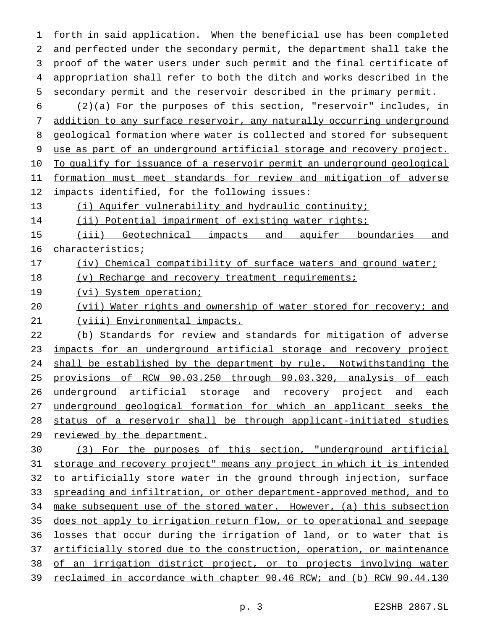forth in said application. When the beneficial use has been completed and perfected under the secondary permit, the department shall take the proof of the water users under such permit and the final certificate of appropriation shall refer to both the ditch and works described in the secondary permit and the reservoir described in the primary permit.

 (2)(a) For the purposes of this section, "reservoir" includes, in addition to any surface reservoir, any naturally occurring underground 8 geological formation where water is collected and stored for subsequent use as part of an underground artificial storage and recovery project. To qualify for issuance of a reservoir permit an underground geological formation must meet standards for review and mitigation of adverse impacts identified, for the following issues:

(i) Aquifer vulnerability and hydraulic continuity;

(ii) Potential impairment of existing water rights;

 (iii) Geotechnical impacts and aquifer boundaries and characteristics;

## (iv) Chemical compatibility of surface waters and ground water;

18 (v) Recharge and recovery treatment requirements;

19 (vi) System operation;

 (vii) Water rights and ownership of water stored for recovery; and (viii) Environmental impacts.

(b) Standards for review and standards for mitigation of adverse

23 impacts for an underground artificial storage and recovery project 24 shall be established by the department by rule. Notwithstanding the provisions of RCW 90.03.250 through 90.03.320, analysis of each 26 underground artificial storage and recovery project and each underground geological formation for which an applicant seeks the status of a reservoir shall be through applicant-initiated studies 29 reviewed by the department.

 (3) For the purposes of this section, "underground artificial storage and recovery project" means any project in which it is intended 32 to artificially store water in the ground through injection, surface spreading and infiltration, or other department-approved method, and to 34 make subsequent use of the stored water. However, (a) this subsection does not apply to irrigation return flow, or to operational and seepage losses that occur during the irrigation of land, or to water that is 37 artificially stored due to the construction, operation, or maintenance 38 of an irrigation district project, or to projects involving water reclaimed in accordance with chapter 90.46 RCW; and (b) RCW 90.44.130